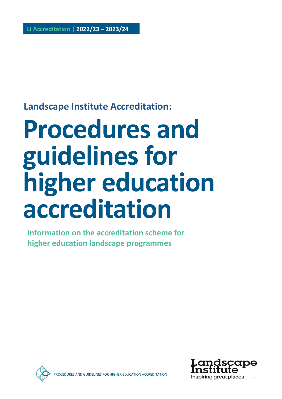### **Landscape Institute Accreditation:**

# **Procedures and guidelines for higher education accreditation**

**Information on the accreditation scheme for higher education landscape programmes**



**AND GUIDELINES FOR HIGHER EDUCATION ACCREDITATION** 

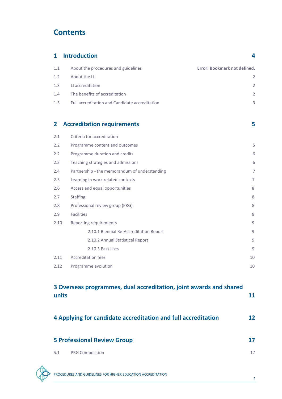### **Contents**

| $\mathbf{1}$ | <b>Introduction</b>                                                        | 4              |
|--------------|----------------------------------------------------------------------------|----------------|
| 1.1          | About the procedures and guidelines<br><b>Error! Bookmark not defined.</b> |                |
| 1.2          | About the LI                                                               | 2              |
| 1.3          | LI accreditation                                                           | 2              |
| 1.4          | The benefits of accreditation                                              | 2              |
| 1.5          | Full accreditation and Candidate accreditation                             | 3              |
| $\mathbf{2}$ | <b>Accreditation requirements</b>                                          | 5              |
| 2.1          | Criteria for accreditation                                                 |                |
| 2.2          | Programme content and outcomes                                             | 5              |
| 2.2          | Programme duration and credits                                             | 6              |
| 2.3          | Teaching strategies and admissions                                         | 6              |
| 2.4          | Partnership - the memorandum of understanding                              | $\overline{7}$ |
| 2.5          | Learning in work related contexts                                          | 7              |
| 2.6          | Access and equal opportunities                                             | 8              |
| 2.7          | <b>Staffing</b>                                                            | 8              |
| 2.8          | Professional review group (PRG)                                            | 8              |
| 2.9          | <b>Facilities</b>                                                          | 8              |
| 2.10         | Reporting requirements                                                     | 9              |
|              | 2.10.1 Biennial Re-Accreditation Report                                    | 9              |
|              | 2.10.2 Annual Statistical Report                                           | 9              |
|              | 2.10.3 Pass Lists                                                          | 9              |
| 2.11         | <b>Accreditation fees</b>                                                  | 10             |
|              | 2.12 Programme evolution                                                   | 10             |
| units        | 3 Overseas programmes, dual accreditation, joint awards and shared         | <b>11</b>      |

| 4 Applying for candidate accreditation and full accreditation |                                    | 12 |  |
|---------------------------------------------------------------|------------------------------------|----|--|
|                                                               | <b>5 Professional Review Group</b> | 17 |  |
| 5.1                                                           | <b>PRG Composition</b>             | 17 |  |

PROCEDURES AND GUIDELINES FOR HIGHER EDUCATION ACCREDITATION

2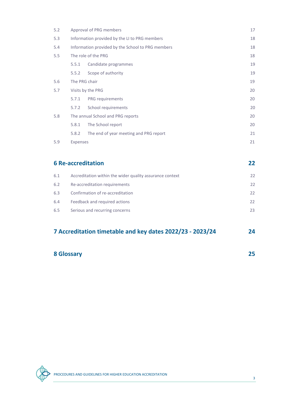| 5.2 | Approval of PRG members                           |                                        | 17 |
|-----|---------------------------------------------------|----------------------------------------|----|
| 5.3 | Information provided by the LI to PRG members     |                                        | 18 |
| 5.4 | Information provided by the School to PRG members |                                        | 18 |
| 5.5 |                                                   | The role of the PRG                    | 18 |
|     | 5.5.1                                             | Candidate programmes                   | 19 |
|     | 5.5.2                                             | Scope of authority                     | 19 |
| 5.6 | The PRG chair                                     |                                        | 19 |
| 5.7 |                                                   | Visits by the PRG                      | 20 |
|     | 5.7.1                                             | PRG requirements                       | 20 |
|     | 5.7.2                                             | School requirements                    | 20 |
| 5.8 |                                                   | The annual School and PRG reports      | 20 |
|     | 5.8.1                                             | The School report                      | 20 |
|     | 5.8.2                                             | The end of year meeting and PRG report | 21 |
| 5.9 | <b>Expenses</b>                                   |                                        | 21 |

| <b>6 Re-accreditation</b> |                                                          | 22           |
|---------------------------|----------------------------------------------------------|--------------|
| 6.1                       | Accreditation within the wider quality assurance context | 22           |
| 6.2                       | Re-accreditation requirements                            | 22           |
| 6.3                       | Confirmation of re-accreditation                         | 22           |
| 6.4                       | Feedback and required actions                            | $22^{\circ}$ |
| 6.5                       | Serious and recurring concerns                           | 23           |

### **7 Accreditation timetable and key dates 2022/23 - 2023/24 24**

| <b>8 Glossary</b> |  |
|-------------------|--|
|                   |  |

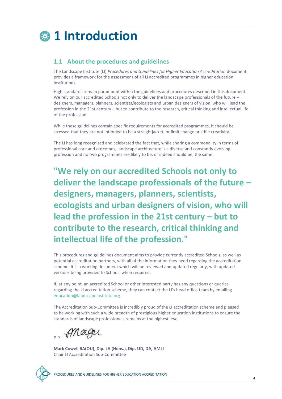

### **1.1 About the procedures and guidelines**

The Landscape Institute (LI) *Procedures and Guidelines for Higher Education Accreditation* document, provides a framework for the assessment of all LI accredited programmes in higher education institutions.

High standards remain paramount within the guidelines and procedures described in this document. We rely on our accredited Schools not only to deliver the landscape professionals of the future – designers, managers, planners, scientists/ecologists and urban designers of vision, who will lead the profession in the 21st century – but to contribute to the research, critical thinking and intellectual life of the profession.

While these guidelines contain specific requirements for accredited programmes, it should be stressed that they are not intended to be a straightjacket, or limit change or stifle creativity.

The LI has long recognised and celebrated the fact that, while sharing a commonality in terms of professional core and outcomes, landscape architecture is a diverse and constantly evolving profession and no two programmes are likely to be, or indeed should be, the same.

**"We rely on our accredited Schools not only to deliver the landscape professionals of the future – designers, managers, planners, scientists, ecologists and urban designers of vision, who will lead the profession in the 21st century – but to contribute to the research, critical thinking and intellectual life of the profession."**

This procedures and guidelines document aims to provide currently accredited Schools, as well as potential accreditation partners, with all of the information they need regarding the accreditation scheme. It is a working document which will be reviewed and updated regularly, with updated versions being provided to Schools when required.

If, at any point, an accredited School or other interested party has any questions or queries regarding the LI accreditation scheme, they can contact the LI's head office team by emailing [education@landscapeinstitute.org.](mailto:education@landscapeinstitute.org)

The Accreditation Sub-Committee is incredibly proud of the LI accreditation scheme and pleased to be working with such a wide breadth of prestigious higher education institutions to ensure the standards of landscape professionals remains at the highest level.

p.p. PMagne

**Mark Cowell BA(OU), Dip. LA (Hons.), Dip. UD, DA, AMLI** Chair LI Accreditation Sub-Committee

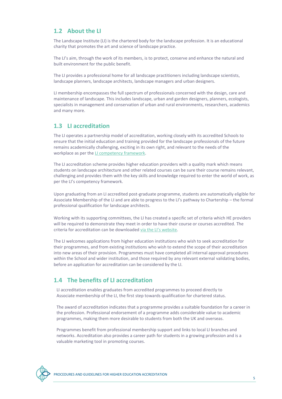### **1.2 About the LI**

The Landscape Institute (LI) is the chartered body for the landscape profession. It is an educational charity that promotes the art and science of landscape practice.

The LI's aim, through the work of its members, is to protect, conserve and enhance the natural and built environment for the public benefit.

The LI provides a professional home for all landscape practitioners including landscape scientists, landscape planners, landscape architects, landscape managers and urban designers.

LI membership encompasses the full spectrum of professionals concerned with the design, care and maintenance of landscape. This includes landscape, urban and garden designers, planners, ecologists, specialists in management and conservation of urban and rural environments, researchers, academics and many more.

### **1.3 LI accreditation**

The LI operates a partnership model of accreditation, working closely with its accredited Schools to ensure that the initial education and training provided for the landscape professionals of the future remains academically challenging, exciting in its own right, and relevant to the needs of the workplace as per th[e LI competency framework.](https://landscapewpstorage01.blob.core.windows.net/www-landscapeinstitute-org/2022/01/220106-12476-entry-standards-competency-framework-update.pdf) 

The LI accreditation scheme provides higher education providers with a quality mark which means students on landscape architecture and other related courses can be sure their course remains relevant, challenging and provides them with the key skills and knowledge required to enter the world of work, as per the LI's competency framework.

Upon graduating from an LI accredited post-graduate programme, students are automatically eligible for Associate Membership of the LI and are able to progress to the LI's pathway to Chartership – the formal professional qualification for landscape architects.

Working with its supporting committees, the LI has created a specific set of criteria which HE providers will be required to demonstrate they meet in order to have their course or courses accredited. The criteria for accreditation can be downloaded [via the LI's website](https://www.landscapeinstitute.org/education/university-course-accreditation/).

The LI welcomes applications from higher education institutions who wish to seek accreditation for their programmes, and from existing institutions who wish to extend the scope of their accreditation into new areas of their provision. Programmes must have completed all internal approval procedures within the School and wider institution, and those required by any relevant external validating bodies, before an application for accreditation can be considered by the LI.

### **1.4 The benefits of LI accreditation**

LI accreditation enables graduates from accredited programmes to proceed directly to Associate membership of the LI, the first step towards qualification for chartered status.

The award of accreditation indicates that a programme provides a suitable foundation for a career in the profession. Professional endorsement of a programme adds considerable value to academic programmes, making them more desirable to students from both the UK and overseas.

Programmes benefit from professional membership support and links to local LI branches and networks. Accreditation also provides a career path for students in a growing profession and is a valuable marketing tool in promoting courses.

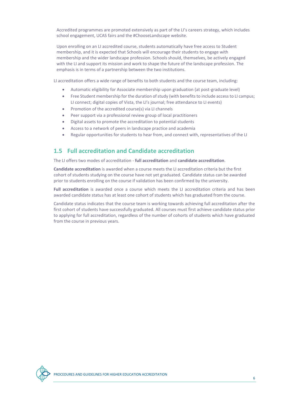Accredited programmes are promoted extensively as part of the LI's careers strategy, which includes school engagement, UCAS fairs and the #ChooseLandscape website.

Upon enrolling on an LI accredited course, students automatically have free access to Student membership, and it is expected that Schools will encourage their students to engage with membership and the wider landscape profession. Schools should, themselves, be actively engaged with the LI and support its mission and work to shape the future of the landscape profession. The emphasis is in terms of a partnership between the two institutions.

LI accreditation offers a wide range of benefits to both students and the course team, including:

- Automatic eligibility for Associate membership upon graduation (at post-graduate level)
- Free Student membership for the duration of study (with benefits to include access to LI campus; LI connect; digital copies of Vista, the LI's journal; free attendance to LI events)
- Promotion of the accredited course(s) via LI channels
- Peer support via a professional review group of local practitioners
- Digital assets to promote the accreditation to potential students
- Access to a network of peers in landscape practice and academia
- Regular opportunities for students to hear from, and connect with, representatives of the LI

### **1.5 Full accreditation and Candidate accreditation**

The LI offers two modes of accreditation - **full accreditation** and **candidate accreditation**.

**Candidate accreditation** is awarded when a course meets the LI accreditation criteria but the first cohort of students studying on the course have not yet graduated. Candidate status can be awarded prior to students enrolling on the course if validation has been confirmed by the university.

**Full accreditation** is awarded once a course which meets the LI accreditation criteria and has been awarded candidate status has at least one cohort of students which has graduated from the course.

Candidate status indicates that the course team is working towards achieving full accreditation after the first cohort of students have successfully graduated. All courses must first achieve candidate status prior to applying for full accreditation, regardless of the number of cohorts of students which have graduated from the course in previous years.

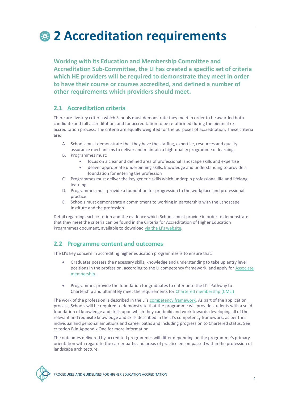# **2 Accreditation requirements**

**Working with its Education and Membership Committee and Accreditation Sub-Committee, the LI has created a specific set of criteria which HE providers will be required to demonstrate they meet in order to have their course or courses accredited, and defined a number of other requirements which providers should meet.** 

### **2.1 Accreditation criteria**

There are five key criteria which Schools must demonstrate they meet in order to be awarded both candidate and full accreditation, and for accreditation to be re-affirmed during the biennial reaccreditation process. The criteria are equally weighted for the purposes of accreditation. These criteria are:

- A. Schools must demonstrate that they have the staffing, expertise, resources and quality assurance mechanisms to deliver and maintain a high-quality programme of learning.
- B. Programmes must:
	- focus on a clear and defined area of professional landscape skills and expertise
	- deliver appropriate underpinning skills, knowledge and understanding to provide a foundation for entering the profession
- C. Programmes must deliver the key generic skills which underpin professional life and lifelong learning
- D. Programmes must provide a foundation for progression to the workplace and professional practice
- E. Schools must demonstrate a commitment to working in partnership with the Landscape Institute and the profession

Detail regarding each criterion and the evidence which Schools must provide in order to demonstrate that they meet the criteria can be found in the Criteria for Accreditation of Higher Education Programmes document, available to download [via the LI's website](https://www.landscapeinstitute.org/education/university-course-accreditation/).

### **2.2 Programme content and outcomes**

The LI's key concern in accrediting higher education programmes is to ensure that:

- Graduates possess the necessary skills, knowledge and understanding to take up entry level positions in the profession, according to the LI competency framework, and apply for [Associate](https://www.landscapeinstitute.org/member-content/associate/)  [membership](https://www.landscapeinstitute.org/member-content/associate/)
- Programmes provide the foundation for graduates to enter onto the LI's Pathway to Chartership and ultimately meet the requirements for [Chartered membership \(CMLI\)](https://www.landscapeinstitute.org/member-content/chartered/)

The work of the profession is described in the LI's [competency framework.](https://www.landscapeinstitute.org/education/introducing-the-new-entry-standards-and-competency-framework/) As part of the application process, Schools will be required to demonstrate that the programme will provide students with a solid foundation of knowledge and skills upon which they can build and work towards developing all of the relevant and requisite knowledge and skills described in the LI's competency framework, as per their individual and personal ambitions and career paths and including progression to Chartered status. See criterion B in Appendix One for more information.

The outcomes delivered by accredited programmes will differ depending on the programme's primary orientation with regard to the career paths and areas of practice encompassed within the profession of landscape architecture.

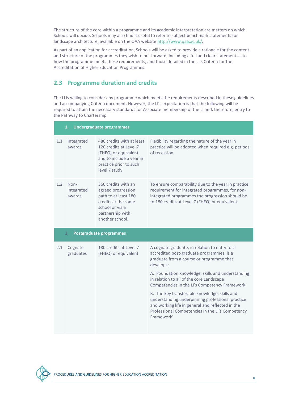The structure of the core within a programme and its academic interpretation are matters on which Schools will decide. Schools may also find it useful to refer to subject benchmark statements for landscape architecture, available on the QAA website [http://www.qaa.ac.uk/.](http://www.qaa.ac.uk/)

As part of an application for accreditation, Schools will be asked to provide a rationale for the content and structure of the programmes they wish to put forward, including a full and clear statement as to how the programme meets these requirements, and those detailed in the LI's Criteria for the Accreditation of Higher Education Programmes.

### **2.3 Programme duration and credits**

The LI is willing to consider any programme which meets the requirements described in these guidelines and accompanying Criteria document. However, the LI's expectation is that the following will be required to attain the necessary standards for Associate membership of the LI and, therefore, entry to the Pathway to Chartership.

|                                      | 1.                           | <b>Undergraduate programmes</b>                                                                                                                     |                                                                                                                                                                                                              |  |
|--------------------------------------|------------------------------|-----------------------------------------------------------------------------------------------------------------------------------------------------|--------------------------------------------------------------------------------------------------------------------------------------------------------------------------------------------------------------|--|
| 1.1                                  | Integrated<br>awards         | 480 credits with at least<br>120 credits at Level 7<br>(FHEQ) or equivalent<br>and to include a year in<br>practice prior to such<br>level 7 study. | Flexibility regarding the nature of the year in<br>practice will be adopted when required e.g. periods<br>of recession                                                                                       |  |
| 1.2                                  | Non-<br>integrated<br>awards | 360 credits with an<br>agreed progression<br>path to at least 180<br>credits at the same<br>school or via a<br>partnership with<br>another school.  | To ensure comparability due to the year in practice<br>requirement for integrated programmes, for non-<br>integrated programmes the progression should be<br>to 180 credits at Level 7 (FHEQ) or equivalent. |  |
| <b>Postgraduate programmes</b><br>2. |                              |                                                                                                                                                     |                                                                                                                                                                                                              |  |
|                                      |                              |                                                                                                                                                     |                                                                                                                                                                                                              |  |
| 2.1                                  | Cognate<br>graduates         | 180 credits at Level 7<br>(FHEQ) or equivalent                                                                                                      | A cognate graduate, in relation to entry to LI<br>accredited post-graduate programmes, is a<br>graduate from a course or programme that<br>develops:                                                         |  |
|                                      |                              |                                                                                                                                                     | A. Foundation knowledge, skills and understanding<br>in relation to all of the core Landscape<br>Competencies in the LI's Competency Framework                                                               |  |

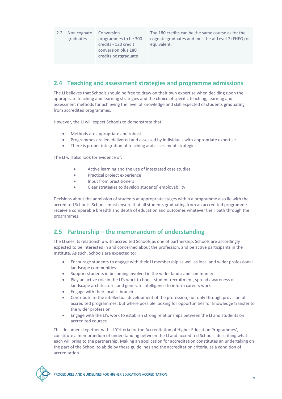2.2 Non cognate graduates Conversion programmes to be 300 credits - 120 credit conversion plus 180 credits postgraduate

The 180 credits can be the same course as for the cognate graduates and must be at Level 7 (FHEQ) or equivalent.

### **2.4 Teaching and assessment strategies and programme admissions**

The LI believes that Schools should be free to draw on their own expertise when deciding upon the appropriate teaching and learning strategies and the choice of specific teaching, learning and assessment methods for achieving the level of knowledge and skill expected of students graduating from accredited programmes.

However, the LI will expect Schools to demonstrate that:

- Methods are appropriate and robust
- Programmes are led, delivered and assessed by individuals with appropriate expertise
- There is proper integration of teaching and assessment strategies.

The LI will also look for evidence of:

- Active learning and the use of integrated case studies
- Practical project experience
- Input from practitioners
- Clear strategies to develop students' employability

Decisions about the admission of students at appropriate stages within a programme also lie with the accredited Schools. Schools must ensure that all students graduating from an accredited programme receive a comparable breadth and depth of education and outcomes whatever their path through the programmes.

### **2.5 Partnership – the memorandum of understanding**

The LI sees its relationship with accredited Schools as one of partnership. Schools are accordingly expected to be interested in and concerned about the profession, and be active participants in the Institute. As such, Schools are expected to:

- Encourage students to engage with their LI membership as well as local and wider professional landscape communities
- Support students in becoming involved in the wider landscape community
- Play an active role in the LI's work to boost student recruitment, spread awareness of landscape architecture, and generate intelligence to inform careers work
- Engage with their local LI branch
- Contribute to the intellectual development of the profession, not only through provision of accredited programmes, but where possible looking for opportunities for knowledge transfer to the wider profession
- Engage with the LI's work to establish strong relationships between the LI and students on accredited courses

This document together with LI 'Criteria for the Accreditation of Higher Education Programmes', constitute a memorandum of understanding between the LI and accredited Schools, describing what each will bring to the partnership. Making an application for accreditation constitutes an undertaking on the part of the School to abide by these guidelines and the accreditation criteria, as a condition of accreditation.

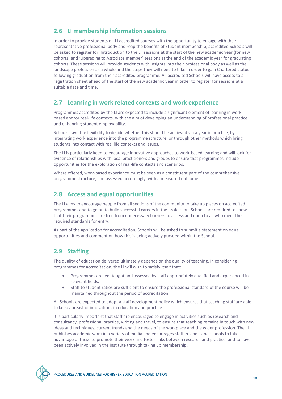### **2.6 LI membership information sessions**

In order to provide students on LI accredited courses with the opportunity to engage with their representative professional body and reap the benefits of Student membership, accredited Schools will be asked to register for 'Introduction to the LI' sessions at the start of the new academic year (for new cohorts) and 'Upgrading to Associate member' sessions at the end of the academic year for graduating cohorts. These sessions will provide students with insights into their professional body as well as the landscape profession as a whole and the steps they will need to take in order to gain Chartered status following graduation from their accredited programme. All accredited Schools will have access to a registration sheet ahead of the start of the new academic year in order to register for sessions at a suitable date and time.

### **2.7 Learning in work related contexts and work experience**

Programmes accredited by the LI are expected to include a significant element of learning in workbased and/or real-life contexts, with the aim of developing an understanding of professional practice and enhancing student employability.

Schools have the flexibility to decide whether this should be achieved via a year in practice, by integrating work experience into the programme structure, or through other methods which bring students into contact with real life contexts and issues.

The LI is particularly keen to encourage innovative approaches to work-based learning and will look for evidence of relationships with local practitioners and groups to ensure that programmes include opportunities for the exploration of real-life contexts and scenarios.

Where offered, work-based experience must be seen as a constituent part of the comprehensive programme structure, and assessed accordingly, with a measured outcome.

### **2.8 Access and equal opportunities**

The LI aims to encourage people from all sections of the community to take up places on accredited programmes and to go on to build successful careers in the profession. Schools are required to show that their programmes are free from unnecessary barriers to access and open to all who meet the required standards for entry.

As part of the application for accreditation, Schools will be asked to submit a statement on equal opportunities and comment on how this is being actively pursued within the School.

### **2.9 Staffing**

The quality of education delivered ultimately depends on the quality of teaching. In considering programmes for accreditation, the LI will wish to satisfy itself that:

- Programmes are led, taught and assessed by staff appropriately qualified and experienced in relevant fields.
- Staff to student ratios are sufficient to ensure the professional standard of the course will be maintained throughout the period of accreditation.

All Schools are expected to adopt a staff development policy which ensures that teaching staff are able to keep abreast of innovations in education and practice.

It is particularly important that staff are encouraged to engage in activities such as research and consultancy, professional practice, writing and travel, to ensure that teaching remains in touch with new ideas and techniques, current trends and the needs of the workplace and the wider profession. The LI publishes academic work in a variety of media and encourages staff in landscape schools to take advantage of these to promote their work and foster links between research and practice, and to have been actively involved in the Institute through taking up membership.

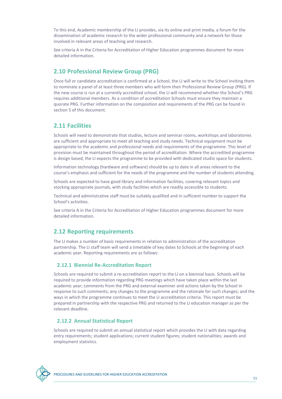To this end, Academic membership of the LI provides, via its online and print media, a forum for the dissemination of academic research to the wider professional community and a network for those involved in relevant areas of teaching and research.

See criteria A in the Criteria for Accreditation of Higher Education programmes document for more detailed information.

### **2.10 Professional Review Group (PRG)**

Once full or candidate accreditation is confirmed at a School, the LI will write to the School inviting them to nominate a panel of at least three members who will form their Professional Review Group (PRG). If the new course is run at a currently accredited school, the LI will recommend whether the School's PRG requires additional members. As a condition of accreditation Schools must ensure they maintain a quorate PRG. Further information on the composition and requirements of the PRG can be found in section 5 of this document.

### **2.11 Facilities**

Schools will need to demonstrate that studios, lecture and seminar rooms, workshops and laboratories are sufficient and appropriate to meet all teaching and study needs. Technical equipment must be appropriate to the academic and professional needs and requirements of the programme. This level of provision must be maintained throughout the period of accreditation. Where the accredited programme is design based, the LI expects the programme to be provided with dedicated studio space for students.

Information technology (hardware and software) should be up to date in all areas relevant to the course's emphasis and sufficient for the needs of the programme and the number of students attending.

Schools are expected to have good library and information facilities, covering relevant topics and stocking appropriate journals, with study facilities which are readily accessible to students.

Technical and administrative staff must be suitably qualified and in sufficient number to support the School's activities.

See criteria A in the Criteria for Accreditation of Higher Education programmes document for more detailed information.

### **2.12 Reporting requirements**

The LI makes a number of basic requirements in relation to administration of the accreditation partnership. The LI staff team will send a timetable of key dates to Schools at the beginning of each academic year. Reporting requirements are as follows:

### **2.12.1 Biennial Re-Accreditation Report**

Schools are required to submit a re-accreditation report to the LI on a biennial basis. Schools will be required to provide information regarding PRG meetings which have taken place within the last academic year; comments from the PRG and external examiner and actions taken by the School in response to such comments; any changes to the programme and the rationale for such changes; and the ways in which the programme continues to meet the LI accreditation criteria. This report must be prepared in partnership with the respective PRG and returned to the LI education manager as per the relevant deadline.

### **2.12.2 Annual Statistical Report**

Schools are required to submit an annual statistical report which provides the LI with data regarding entry requirements; student applications; current student figures; student nationalities; awards and employment statistics.

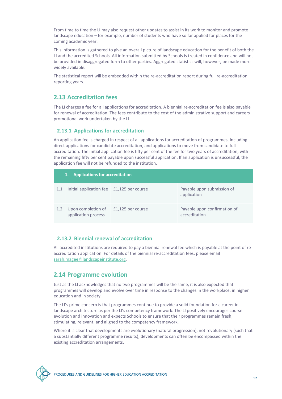From time to time the LI may also request other updates to assist in its work to monitor and promote landscape education – for example, number of students who have so far applied for places for the coming academic year.

This information is gathered to give an overall picture of landscape education for the benefit of both the LI and the accredited Schools. All information submitted by Schools is treated in confidence and will not be provided in disaggregated form to other parties. Aggregated statistics will, however, be made more widely available.

The statistical report will be embedded within the re-accreditation report during full re-accreditation reporting years.

### **2.13 Accreditation fees**

The LI charges a fee for all applications for accreditation. A biennial re-accreditation fee is also payable for renewal of accreditation. The fees contribute to the cost of the administrative support and careers promotional work undertaken by the LI.

#### **2.13.1 Applications for accreditation**

An application fee is charged in respect of all applications for accreditation of programmes, including direct applications for candidate accreditation, and applications to move from candidate to full accreditation. The initial application fee is fifty per cent of the fee for two years of accreditation, with the remaining fifty per cent payable upon successful application. If an application is unsuccessful, the application fee will not be refunded to the institution.

| 1. Applications for accreditation |                                               |                   |                                               |
|-----------------------------------|-----------------------------------------------|-------------------|-----------------------------------------------|
| 1.1                               | Initial application fee £1,125 per course     |                   | Payable upon submission of<br>application     |
|                                   | 1.2 Upon completion of<br>application process | £1,125 per course | Payable upon confirmation of<br>accreditation |

### **2.13.2 Biennial renewal of accreditation**

All accredited institutions are required to pay a biennial renewal fee which is payable at the point of reaccreditation application. For details of the biennial re-accreditation fees, please email [sarah.magee@landscapeinstitute.org.](mailto:sarah.magee@landscapeinstitute.org) 

### **2.14 Programme evolution**

Just as the LI acknowledges that no two programmes will be the same, it is also expected that programmes will develop and evolve over time in response to the changes in the workplace, in higher education and in society.

The LI's prime concern is that programmes continue to provide a solid foundation for a career in landscape architecture as per the LI's competency framework. The LI positively encourages course evolution and innovation and expects Schools to ensure that their programmes remain fresh, stimulating, relevant, and aligned to the competency framework.

Where it is clear that developments are evolutionary (natural progression), not revolutionary (such that a substantially different programme results), developments can often be encompassed within the existing accreditation arrangements.

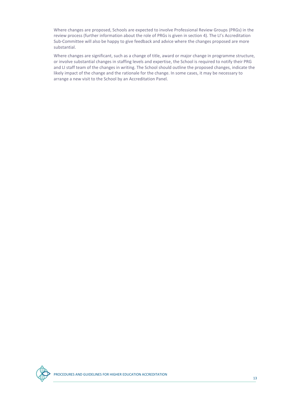Where changes are proposed, Schools are expected to involve Professional Review Groups (PRGs) in the review process (further information about the role of PRGs is given in section 4). The LI's Accreditation Sub-Committee will also be happy to give feedback and advice where the changes proposed are more substantial.

Where changes are significant, such as a change of title, award or major change in programme structure, or involve substantial changes in staffing levels and expertise, the School is required to notify their PRG and LI staff team of the changes in writing. The School should outline the proposed changes, indicate the likely impact of the change and the rationale for the change. In some cases, it may be necessary to arrange a new visit to the School by an Accreditation Panel.

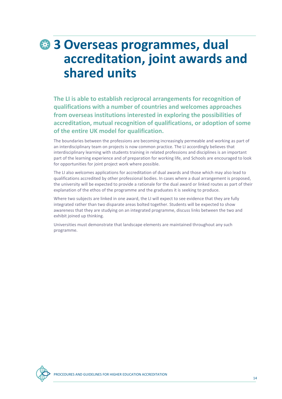## **3 Overseas programmes, dual accreditation, joint awards and shared units**

**The LI is able to establish reciprocal arrangements for recognition of qualifications with a number of countries and welcomes approaches from overseas institutions interested in exploring the possibilities of accreditation, mutual recognition of qualifications, or adoption of some of the entire UK model for qualification.** 

The boundaries between the professions are becoming increasingly permeable and working as part of an interdisciplinary team on projects is now common practice. The LI accordingly believes that interdisciplinary learning with students training in related professions and disciplines is an important part of the learning experience and of preparation for working life, and Schools are encouraged to look for opportunities for joint project work where possible.

The LI also welcomes applications for accreditation of dual awards and those which may also lead to qualifications accredited by other professional bodies. In cases where a dual arrangement is proposed, the university will be expected to provide a rationale for the dual award or linked routes as part of their explanation of the ethos of the programme and the graduates it is seeking to produce.

Where two subjects are linked in one award, the LI will expect to see evidence that they are fully integrated rather than two disparate areas bolted together. Students will be expected to show awareness that they are studying on an integrated programme, discuss links between the two and exhibit joined up thinking.

Universities must demonstrate that landscape elements are maintained throughout any such programme.

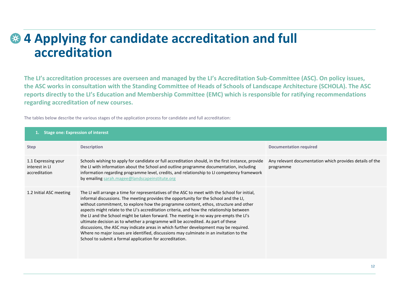### **4 Applying for candidate accreditation and full**   $\epsilon_{\text{th}}$ **accreditation**

**The LI's accreditation processes are overseen and managed by the LI's Accreditation Sub-Committee (ASC). On policy issues, the ASC works in consultation with the Standing Committee of Heads of Schools of Landscape Architecture (SCHOLA). The ASC reports directly to the LI's Education and Membership Committee (EMC) which is responsible for ratifying recommendations regarding accreditation of new courses.** 

The tables below describe the various stages of the application process for candidate and full accreditation:

| <b>Stage one: Expression of interest</b>               |                                                                                                                                                                                                                                                                                                                                                                                                                                                                                                                                                                                                                                                                                                                                                                                                            |                                                                       |  |  |
|--------------------------------------------------------|------------------------------------------------------------------------------------------------------------------------------------------------------------------------------------------------------------------------------------------------------------------------------------------------------------------------------------------------------------------------------------------------------------------------------------------------------------------------------------------------------------------------------------------------------------------------------------------------------------------------------------------------------------------------------------------------------------------------------------------------------------------------------------------------------------|-----------------------------------------------------------------------|--|--|
| <b>Step</b>                                            | <b>Description</b>                                                                                                                                                                                                                                                                                                                                                                                                                                                                                                                                                                                                                                                                                                                                                                                         | <b>Documentation required</b>                                         |  |  |
| 1.1 Expressing your<br>interest in LI<br>accreditation | Schools wishing to apply for candidate or full accreditation should, in the first instance, provide<br>the LI with information about the School and outline programme documentation, including<br>information regarding programme level, credits, and relationship to LI competency framework<br>by emailing sarah.magee@landscapeinstitute.org                                                                                                                                                                                                                                                                                                                                                                                                                                                            | Any relevant documentation which provides details of the<br>programme |  |  |
| 1.2 Initial ASC meeting                                | The LI will arrange a time for representatives of the ASC to meet with the School for initial,<br>informal discussions. The meeting provides the opportunity for the School and the LI,<br>without commitment, to explore how the programme content, ethos, structure and other<br>aspects might relate to the LI's accreditation criteria, and how the relationship between<br>the LI and the School might be taken forward. The meeting in no way pre-empts the LI's<br>ultimate decision as to whether a programme will be accredited. As part of these<br>discussions, the ASC may indicate areas in which further development may be required.<br>Where no major issues are identified, discussions may culminate in an invitation to the<br>School to submit a formal application for accreditation. |                                                                       |  |  |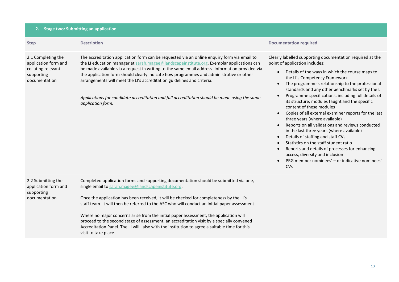| 2. Stage two: Submitting an application                                                         |                                                                                                                                                                                                                                                                                                                                                                                                                                                                                                                                                                                                                                                          |                                                                                                                                                                                                                                                                                                                                                                                                                                                                                                                                                                                                                                                                                                                                                                                                                                                                                                                                    |  |
|-------------------------------------------------------------------------------------------------|----------------------------------------------------------------------------------------------------------------------------------------------------------------------------------------------------------------------------------------------------------------------------------------------------------------------------------------------------------------------------------------------------------------------------------------------------------------------------------------------------------------------------------------------------------------------------------------------------------------------------------------------------------|------------------------------------------------------------------------------------------------------------------------------------------------------------------------------------------------------------------------------------------------------------------------------------------------------------------------------------------------------------------------------------------------------------------------------------------------------------------------------------------------------------------------------------------------------------------------------------------------------------------------------------------------------------------------------------------------------------------------------------------------------------------------------------------------------------------------------------------------------------------------------------------------------------------------------------|--|
| <b>Step</b>                                                                                     | <b>Description</b>                                                                                                                                                                                                                                                                                                                                                                                                                                                                                                                                                                                                                                       | <b>Documentation required</b>                                                                                                                                                                                                                                                                                                                                                                                                                                                                                                                                                                                                                                                                                                                                                                                                                                                                                                      |  |
| 2.1 Completing the<br>application form and<br>collating relevant<br>supporting<br>documentation | The accreditation application form can be requested via an online enquiry form via email to<br>the LI education manager at sarah.magee@landscapeinstitute.org. Exemplar applications can<br>be made available via a request in writing to the same email address. Information provided via<br>the application form should clearly indicate how programmes and administrative or other<br>arrangements will meet the LI's accreditation guidelines and criteria.<br>Applications for candidate accreditation and full accreditation should be made using the same<br>application form.                                                                    | Clearly labelled supporting documentation required at the<br>point of application includes:<br>Details of the ways in which the course maps to<br>the LI's Competency Framework<br>The programme's relationship to the professional<br>$\bullet$<br>standards and any other benchmarks set by the LI<br>Programme specifications, including full details of<br>its structure, modules taught and the specific<br>content of these modules<br>Copies of all external examiner reports for the last<br>$\bullet$<br>three years (where available)<br>Reports on all validations and reviews conducted<br>$\bullet$<br>in the last three years (where available)<br>Details of staffing and staff CVs<br>$\bullet$<br>Statistics on the staff student ratio<br>$\bullet$<br>Reports and details of processes for enhancing<br>$\bullet$<br>access, diversity and inclusion<br>PRG member nominees' - or indicative nominees' -<br>CVs |  |
| 2.2 Submitting the<br>application form and<br>supporting<br>documentation                       | Completed application forms and supporting documentation should be submitted via one,<br>single email to sarah.magee@landscapeinstitute.org.<br>Once the application has been received, it will be checked for completeness by the LI's<br>staff team. It will then be referred to the ASC who will conduct an initial paper assessment.<br>Where no major concerns arise from the initial paper assessment, the application will<br>proceed to the second stage of assessment, an accreditation visit by a specially convened<br>Accreditation Panel. The LI will liaise with the institution to agree a suitable time for this<br>visit to take place. |                                                                                                                                                                                                                                                                                                                                                                                                                                                                                                                                                                                                                                                                                                                                                                                                                                                                                                                                    |  |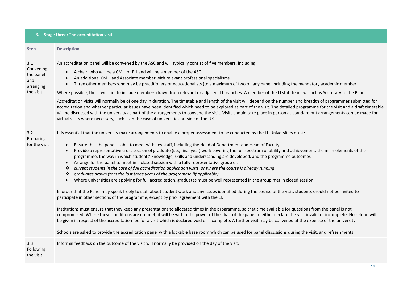#### **3. Stage three: The accreditation visit**

| <b>Step</b>                                                    | <b>Description</b>                                                                                                                                                                                                                                                                                                                                                                                                                                                                                                                                                                                                                                                                                                                                                                                                                                                                                                                                                                                                                                                                                                                                                                                                                                                                                                                                                                                                                                                                                                                                                                                                                                                                                                                                                                                                                                                                                                                                                     |
|----------------------------------------------------------------|------------------------------------------------------------------------------------------------------------------------------------------------------------------------------------------------------------------------------------------------------------------------------------------------------------------------------------------------------------------------------------------------------------------------------------------------------------------------------------------------------------------------------------------------------------------------------------------------------------------------------------------------------------------------------------------------------------------------------------------------------------------------------------------------------------------------------------------------------------------------------------------------------------------------------------------------------------------------------------------------------------------------------------------------------------------------------------------------------------------------------------------------------------------------------------------------------------------------------------------------------------------------------------------------------------------------------------------------------------------------------------------------------------------------------------------------------------------------------------------------------------------------------------------------------------------------------------------------------------------------------------------------------------------------------------------------------------------------------------------------------------------------------------------------------------------------------------------------------------------------------------------------------------------------------------------------------------------------|
| 3.1<br>Convening<br>the panel<br>and<br>arranging<br>the visit | An accreditation panel will be convened by the ASC and will typically consist of five members, including:<br>A chair, who will be a CMLI or FLI and will be a member of the ASC<br>$\bullet$<br>An additional CMLI and Associate member with relevant professional specialisms<br>$\bullet$<br>Three other members who may be practitioners or educationalists (to a maximum of two on any panel including the mandatory academic member<br>$\bullet$<br>Where possible, the LI will aim to include members drawn from relevant or adjacent LI branches. A member of the LI staff team will act as Secretary to the Panel.<br>Accreditation visits will normally be of one day in duration. The timetable and length of the visit will depend on the number and breadth of programmes submitted for<br>accreditation and whether particular issues have been identified which need to be explored as part of the visit. The detailed programme for the visit and a draft timetable<br>will be discussed with the university as part of the arrangements to convene the visit. Visits should take place in person as standard but arrangements can be made for<br>virtual visits where necessary, such as in the case of universities outside of the UK.                                                                                                                                                                                                                                                                                                                                                                                                                                                                                                                                                                                                                                                                                                                |
| 3.2<br>Preparing<br>for the visit                              | It is essential that the university make arrangements to enable a proper assessment to be conducted by the LI. Universities must:<br>Ensure that the panel is able to meet with key staff, including the Head of Department and Head of Faculty<br>$\bullet$<br>Provide a representative cross section of graduate (i.e., final year) work covering the full spectrum of ability and achievement, the main elements of the<br>$\bullet$<br>programme, the way in which students' knowledge, skills and understanding are developed, and the programme outcomes<br>Arrange for the panel to meet in a closed session with a fully representative group of:<br>$\bullet$<br>current students in the case of full accreditation application visits, or where the course is already running<br>❖<br>graduates drawn from the last three years of the programme (if applicable)<br>❖<br>Where universities are applying for full accreditation, graduates must be well represented in the group met in closed session<br>$\bullet$<br>In order that the Panel may speak freely to staff about student work and any issues identified during the course of the visit, students should not be invited to<br>participate in other sections of the programme, except by prior agreement with the LI.<br>Institutions must ensure that they keep any presentations to allocated times in the programme, so that time available for questions from the panel is not<br>compromised. Where these conditions are not met, it will be within the power of the chair of the panel to either declare the visit invalid or incomplete. No refund will<br>be given in respect of the accreditation fee for a visit which is declared void or incomplete. A further visit may be convened at the expense of the university.<br>Schools are asked to provide the accreditation panel with a lockable base room which can be used for panel discussions during the visit, and refreshments. |
| 3.3<br>Following<br>$+$ h $\sim$ $\cdot$ $i$ $\circ$ $i$ $+$   | Informal feedback on the outcome of the visit will normally be provided on the day of the visit.                                                                                                                                                                                                                                                                                                                                                                                                                                                                                                                                                                                                                                                                                                                                                                                                                                                                                                                                                                                                                                                                                                                                                                                                                                                                                                                                                                                                                                                                                                                                                                                                                                                                                                                                                                                                                                                                       |

the visit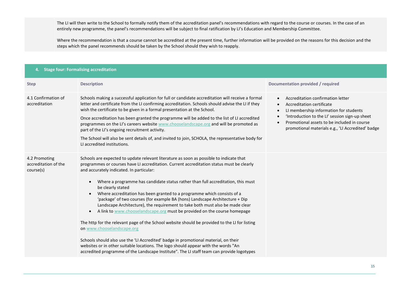The LI will then write to the School to formally notify them of the accreditation panel's recommendations with regard to the course or courses. In the case of an entirely new programme, the panel's recommendations will be subject to final ratification by LI's Education and Membership Committee.

Where the recommendation is that a course cannot be accredited at the present time, further information will be provided on the reasons for this decision and the steps which the panel recommends should be taken by the School should they wish to reapply.

| <b>Stage four: Formalising accreditation</b><br>4. |                                                                                                                                                                                                                                                                                                                                                                                                                                                                                                                                                                                                                                                                                                                                                                                                                                                                                                                                                                                                                                                                                                                    |                                                                                                                                                                                                                                                                             |  |  |
|----------------------------------------------------|--------------------------------------------------------------------------------------------------------------------------------------------------------------------------------------------------------------------------------------------------------------------------------------------------------------------------------------------------------------------------------------------------------------------------------------------------------------------------------------------------------------------------------------------------------------------------------------------------------------------------------------------------------------------------------------------------------------------------------------------------------------------------------------------------------------------------------------------------------------------------------------------------------------------------------------------------------------------------------------------------------------------------------------------------------------------------------------------------------------------|-----------------------------------------------------------------------------------------------------------------------------------------------------------------------------------------------------------------------------------------------------------------------------|--|--|
| <b>Step</b>                                        | <b>Description</b>                                                                                                                                                                                                                                                                                                                                                                                                                                                                                                                                                                                                                                                                                                                                                                                                                                                                                                                                                                                                                                                                                                 | <b>Documentation provided / required</b>                                                                                                                                                                                                                                    |  |  |
| 4.1 Confirmation of<br>accreditation               | Schools making a successful application for full or candidate accreditation will receive a formal<br>letter and certificate from the LI confirming accreditation. Schools should advise the LI if they<br>wish the certificate to be given in a formal presentation at the School.<br>Once accreditation has been granted the programme will be added to the list of LI accredited<br>programmes on the LI's careers website www.chooselandscape.org and will be promoted as<br>part of the LI's ongoing recruitment activity.<br>The School will also be sent details of, and invited to join, SCHOLA, the representative body for<br>LI accredited institutions.                                                                                                                                                                                                                                                                                                                                                                                                                                                 | Accreditation confirmation letter<br>Accreditation certificate<br>$\bullet$<br>LI membership information for students<br>'Introduction to the LI' session sign-up sheet<br>Promotional assets to be included in course<br>promotional materials e.g., 'LI Accredited' badge |  |  |
| 4.2 Promoting<br>accreditation of the<br>course(s) | Schools are expected to update relevant literature as soon as possible to indicate that<br>programmes or courses have LI accreditation. Current accreditation status must be clearly<br>and accurately indicated. In particular:<br>Where a programme has candidate status rather than full accreditation, this must<br>$\bullet$<br>be clearly stated<br>Where accreditation has been granted to a programme which consists of a<br>$\bullet$<br>'package' of two courses (for example BA (hons) Landscape Architecture + Dip<br>Landscape Architecture), the requirement to take both must also be made clear<br>A link to www.chooselandscape.org must be provided on the course homepage<br>$\bullet$<br>The http for the relevant page of the School website should be provided to the LI for listing<br>on www.chooselandscape.org<br>Schools should also use the 'LI Accredited' badge in promotional material, on their<br>websites or in other suitable locations. The logo should appear with the words "An<br>accredited programme of the Landscape Institute". The LI staff team can provide logotypes |                                                                                                                                                                                                                                                                             |  |  |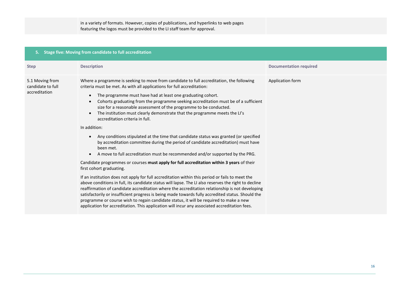| in a variety of formats. However, copies of publications, and hyperlinks to web pages |  |
|---------------------------------------------------------------------------------------|--|
| featuring the logos must be provided to the LI staff team for approval.               |  |

| <b>Stage five: Moving from candidate to full accreditation</b><br>5. |                                                                                                                                                                                                                                                                                                                                                                                                                                                                                                                                                                                                                                                                                                                                                                                                                                                                                                                                                                                                                                                                                                                                                                                                                                                                                                                                                                                                                                                                                                                                                                                                                      |                               |  |  |
|----------------------------------------------------------------------|----------------------------------------------------------------------------------------------------------------------------------------------------------------------------------------------------------------------------------------------------------------------------------------------------------------------------------------------------------------------------------------------------------------------------------------------------------------------------------------------------------------------------------------------------------------------------------------------------------------------------------------------------------------------------------------------------------------------------------------------------------------------------------------------------------------------------------------------------------------------------------------------------------------------------------------------------------------------------------------------------------------------------------------------------------------------------------------------------------------------------------------------------------------------------------------------------------------------------------------------------------------------------------------------------------------------------------------------------------------------------------------------------------------------------------------------------------------------------------------------------------------------------------------------------------------------------------------------------------------------|-------------------------------|--|--|
| <b>Step</b>                                                          | <b>Description</b>                                                                                                                                                                                                                                                                                                                                                                                                                                                                                                                                                                                                                                                                                                                                                                                                                                                                                                                                                                                                                                                                                                                                                                                                                                                                                                                                                                                                                                                                                                                                                                                                   | <b>Documentation required</b> |  |  |
| 5.1 Moving from<br>candidate to full<br>accreditation                | Where a programme is seeking to move from candidate to full accreditation, the following<br>criteria must be met. As with all applications for full accreditation:<br>The programme must have had at least one graduating cohort.<br>$\bullet$<br>Cohorts graduating from the programme seeking accreditation must be of a sufficient<br>$\bullet$<br>size for a reasonable assessment of the programme to be conducted.<br>The institution must clearly demonstrate that the programme meets the LI's<br>$\bullet$<br>accreditation criteria in full.<br>In addition:<br>Any conditions stipulated at the time that candidate status was granted (or specified<br>$\bullet$<br>by accreditation committee during the period of candidate accreditation) must have<br>been met.<br>A move to full accreditation must be recommended and/or supported by the PRG.<br>$\bullet$<br>Candidate programmes or courses must apply for full accreditation within 3 years of their<br>first cohort graduating.<br>If an institution does not apply for full accreditation within this period or fails to meet the<br>above conditions in full, its candidate status will lapse. The LI also reserves the right to decline<br>reaffirmation of candidate accreditation where the accreditation relationship is not developing<br>satisfactorily or insufficient progress is being made towards fully accredited status. Should the<br>programme or course wish to regain candidate status, it will be required to make a new<br>application for accreditation. This application will incur any associated accreditation fees. | Application form              |  |  |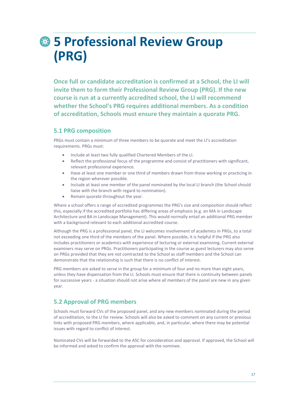# **5 Professional Review Group (PRG)**

**Once full or candidate accreditation is confirmed at a School, the LI will invite them to form their Professional Review Group (PRG). If the new course is run at a currently accredited school, the LI will recommend whether the School's PRG requires additional members. As a condition of accreditation, Schools must ensure they maintain a quorate PRG.**

### **5.1 PRG composition**

PRGs must contain a minimum of three members to be quorate and meet the LI's accreditation requirements. PRGs must:

- Include at least two fully qualified Chartered Members of the LI.
- Reflect the professional focus of the programme and consist of practitioners with significant, relevant professional experience.
- Have at least one member or one third of members drawn from those working or practicing in the region wherever possible.
- Include at least one member of the panel nominated by the local LI branch (the School should liaise with the branch with regard to nomination).
- Remain quorate throughout the year.

Where a school offers a range of accredited programmes the PRG's size and composition should reflect this, especially if the accredited portfolio has differing areas of emphasis (e.g. an MA in Landscape Architecture and BA in Landscape Management). This would normally entail an additional PRG member with a background relevant to each additional accredited course.

Although the PRG is a professional panel, the LI welcomes involvement of academics in PRGs, to a total not exceeding one third of the members of the panel. Where possible, it is helpful if the PRG also includes practitioners or academics with experience of lecturing or external examining. Current external examiners may serve on PRGs. Practitioners participating in the course as guest lecturers may also serve on PRGs provided that they are not contracted to the School as staff members and the School can demonstrate that the relationship is such that there is no conflict of interest.

PRG members are asked to serve in the group for a minimum of four and no more than eight years, unless they have dispensation from the LI. Schools must ensure that there is continuity between panels for successive years - a situation should not arise where all members of the panel are new in any given year.

### **5.2 Approval of PRG members**

Schools must forward CVs of the proposed panel, and any new members nominated during the period of accreditation, to the LI for review. Schools will also be asked to comment on any current or previous links with proposed PRG members, where applicable, and, in particular, where there may be potential issues with regard to conflict of interest.

Nominated CVs will be forwarded to the ASC for consideration and approval. If approved, the School will be informed and asked to confirm the approval with the nominee.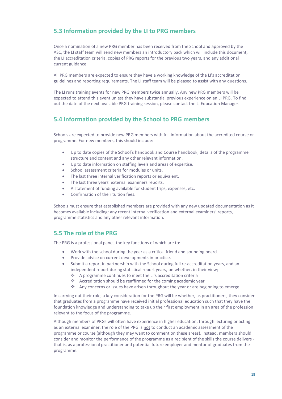### **5.3 Information provided by the LI to PRG members**

Once a nomination of a new PRG member has been received from the School and approved by the ASC, the LI staff team will send new members an introductory pack which will include this document, the LI accreditation criteria, copies of PRG reports for the previous two years, and any additional current guidance.

All PRG members are expected to ensure they have a working knowledge of the LI's accreditation guidelines and reporting requirements. The LI staff team will be pleased to assist with any questions.

The LI runs training events for new PRG members twice annually. Any new PRG members will be expected to attend this event unless they have substantial previous experience on an LI PRG. To find out the date of the next available PRG training session, please contact the LI Education Manager.

### **5.4 Information provided by the School to PRG members**

Schools are expected to provide new PRG members with full information about the accredited course or programme. For new members, this should include:

- Up to date copies of the School's handbook and Course handbook, details of the programme structure and content and any other relevant information.
- Up to date information on staffing levels and areas of expertise.
- School assessment criteria for modules or units.
- The last three internal verification reports or equivalent.
- The last three years' external examiners reports.
- A statement of funding available for student trips, expenses, etc.
- Confirmation of their tuition fees.

Schools must ensure that established members are provided with any new updated documentation as it becomes available including: any recent internal verification and external examiners' reports, programme statistics and any other relevant information.

### **5.5 The role of the PRG**

The PRG is a professional panel, the key functions of which are to:

- Work with the school during the year as a critical friend and sounding board.
- Provide advice on current developments in practice.
- Submit a report in partnership with the School during full re-accreditation years, and an independent report during statistical report years, on whether, in their view;
	- ❖ A programme continues to meet the LI's accreditation criteria
	- ❖ Accreditation should be reaffirmed for the coming academic year
	- ❖ Any concerns or issues have arisen throughout the year or are beginning to emerge.

In carrying out their role, a key consideration for the PRG will be whether, as practitioners, they consider that graduates from a programme have received initial professional education such that they have the foundation knowledge and understanding to take up their first employment in an area of the profession relevant to the focus of the programme.

Although members of PRGs will often have experience in higher education, through lecturing or acting as an external examiner, the role of the PRG is not to conduct an academic assessment of the programme or course (although they may want to comment on these areas). Instead, members should consider and monitor the performance of the programme as a recipient of the skills the course delivers that is, as a professional practitioner and potential future employer and mentor of graduates from the programme.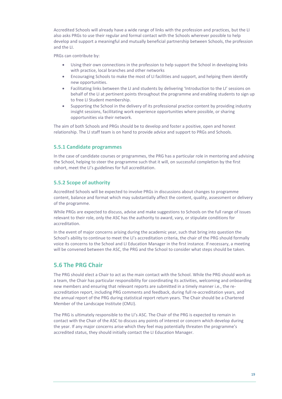Accredited Schools will already have a wide range of links with the profession and practices, but the LI also asks PRGs to use their regular and formal contact with the Schools wherever possible to help develop and support a meaningful and mutually beneficial partnership between Schools, the profession and the LI.

PRGs can contribute by:

- Using their own connections in the profession to help support the School in developing links with practice, local branches and other networks
- Encouraging Schools to make the most of LI facilities and support, and helping them identify new opportunities.
- Facilitating links between the LI and students by delivering 'Introduction to the LI' sessions on behalf of the LI at pertinent points throughout the programme and enabling students to sign up to free LI Student membership.
- Supporting the School in the delivery of its professional practice content by providing industry insight sessions, facilitating work experience opportunities where possible, or sharing opportunities via their network.

The aim of both Schools and PRGs should be to develop and foster a positive, open and honest relationship. The LI staff team is on hand to provide advice and support to PRGs and Schools.

### **5.5.1 Candidate programmes**

In the case of candidate courses or programmes, the PRG has a particular role in mentoring and advising the School, helping to steer the programme such that it will, on successful completion by the first cohort, meet the LI's guidelines for full accreditation.

### **5.5.2 Scope of authority**

Accredited Schools will be expected to involve PRGs in discussions about changes to programme content, balance and format which may substantially affect the content, quality, assessment or delivery of the programme.

While PRGs are expected to discuss, advise and make suggestions to Schools on the full range of issues relevant to their role, only the ASC has the authority to award, vary, or stipulate conditions for accreditation.

In the event of major concerns arising during the academic year, such that bring into question the School's ability to continue to meet the LI's accreditation criteria, the chair of the PRG should formally voice its concerns to the School and LI Education Manager in the first instance. If necessary, a meeting will be convened between the ASC, the PRG and the School to consider what steps should be taken.

### **5.6 The PRG Chair**

The PRG should elect a Chair to act as the main contact with the School. While the PRG should work as a team, the Chair has particular responsibility for coordinating its activities, welcoming and onboarding new members and ensuring that relevant reports are submitted in a timely manner i.e., the reaccreditation report, including PRG comments and feedback, during full re-accreditation years, and the annual report of the PRG during statistical report return years. The Chair should be a Chartered Member of the Landscape Institute (CMLI).

The PRG is ultimately responsible to the LI's ASC. The Chair of the PRG is expected to remain in contact with the Chair of the ASC to discuss any points of interest or concern which develop during the year. If any major concerns arise which they feel may potentially threaten the programme's accredited status, they should initially contact the LI Education Manager.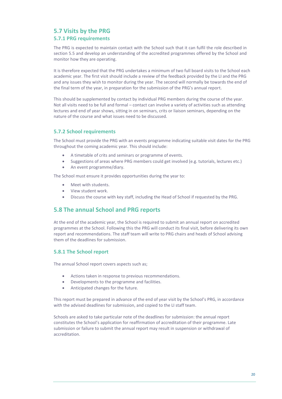### **5.7 Visits by the PRG**

### **5.7.1 PRG requirements**

The PRG is expected to maintain contact with the School such that it can fulfil the role described in section 5.5 and develop an understanding of the accredited programmes offered by the School and monitor how they are operating.

It is therefore expected that the PRG undertakes a minimum of two full board visits to the School each academic year. The first visit should include a review of the feedback provided by the LI and the PRG and any issues they wish to monitor during the year. The second will normally be towards the end of the final term of the year, in preparation for the submission of the PRG's annual report.

This should be supplemented by contact by individual PRG members during the course of the year. Not all visits need to be full and formal – contact can involve a variety of activities such as attending lectures and end of year shows, sitting in on seminars, crits or liaison seminars, depending on the nature of the course and what issues need to be discussed.

### **5.7.2 School requirements**

The School must provide the PRG with an events programme indicating suitable visit dates for the PRG throughout the coming academic year. This should include:

- A timetable of crits and seminars or programme of events.
- Suggestions of areas where PRG members could get involved (e.g. tutorials, lectures etc.)
- An event programme/diary.

The School must ensure it provides opportunities during the year to:

- Meet with students.
- View student work.
- Discuss the course with key staff, including the Head of School if requested by the PRG.

### **5.8 The annual School and PRG reports**

At the end of the academic year, the School is required to submit an annual report on accredited programmes at the School. Following this the PRG will conduct its final visit, before delivering its own report and recommendations. The staff team will write to PRG chairs and heads of School advising them of the deadlines for submission.

### **5.8.1 The School report**

The annual School report covers aspects such as;

- Actions taken in response to previous recommendations.
- Developments to the programme and facilities.
- Anticipated changes for the future.

This report must be prepared in advance of the end of year visit by the School's PRG, in accordance with the advised deadlines for submission, and copied to the LI staff team.

Schools are asked to take particular note of the deadlines for submission: the annual report constitutes the School's application for reaffirmation of accreditation of their programme. Late submission or failure to submit the annual report may result in suspension or withdrawal of accreditation.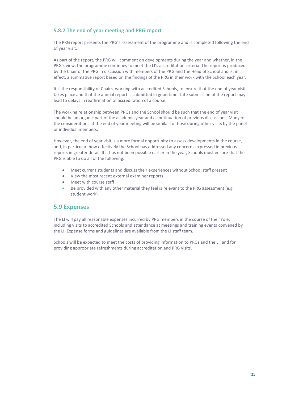### **5.8.2 The end of year meeting and PRG report**

The PRG report presents the PRG's assessment of the programme and is completed following the end of year visit.

As part of the report, the PRG will comment on developments during the year and whether, in the PRG's view, the programme continues to meet the LI's accreditation criteria. The report is produced by the Chair of the PRG in discussion with members of the PRG and the Head of School and is, in effect, a summative report based on the findings of the PRG in their work with the School each year.

It is the responsibility of Chairs, working with accredited Schools, to ensure that the end of year visit takes place and that the annual report is submitted in good time. Late submission of the report may lead to delays in reaffirmation of accreditation of a course.

The working relationship between PRGs and the School should be such that the end of year visit should be an organic part of the academic year and a continuation of previous discussions. Many of the considerations at the end of year meeting will be similar to those during other visits by the panel or individual members.

However, the end of year visit is a more formal opportunity to assess developments in the course, and, in particular, how effectively the School has addressed any concerns expressed in previous reports in greater detail. If it has not been possible earlier in the year, Schools must ensure that the PRG is able to do all of the following:

- Meet current students and discuss their experiences without School staff present
- View the most recent external examiner reports
- Meet with course staff
- Be provided with any other material they feel is relevant to the PRG assessment (e.g. student work)

### **5.9 Expenses**

The LI will pay all reasonable expenses incurred by PRG members in the course of their role, including visits to accredited Schools and attendance at meetings and training events convened by the LI. Expense forms and guidelines are available from the LI staff team.

Schools will be expected to meet the costs of providing information to PRGs and the LI, and for providing appropriate refreshments during accreditation and PRG visits.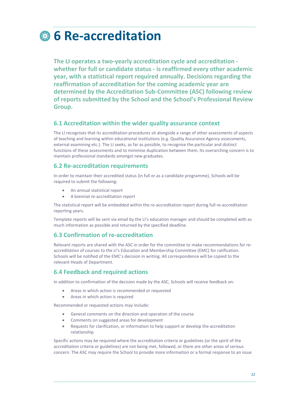# **6 Re-accreditation**

**The LI operates a two-yearly accreditation cycle and accreditation whether for full or candidate status - is reaffirmed every other academic year, with a statistical report required annually. Decisions regarding the reaffirmation of accreditation for the coming academic year are determined by the Accreditation Sub-Committee (ASC) following review of reports submitted by the School and the School's Professional Review Group.**

### **6.1 Accreditation within the wider quality assurance context**

The LI recognises that its accreditation procedures sit alongside a range of other assessments of aspects of teaching and learning within educational institutions (e.g. Quality Assurance Agency assessments, external examining etc.). The LI seeks, as far as possible, to recognise the particular and distinct functions of these assessments and to minimise duplication between them. Its overarching concern is to maintain professional standards amongst new graduates.

### **6.2 Re-accreditation requirements**

In order to maintain their accredited status (in full or as a candidate programme), Schools will be required to submit the following:

- An annual statistical report
- A biennial re-accreditation report

The statistical report will be embedded within the re-accreditation report during full re-accreditation reporting years.

Template reports will be sent via email by the LI's education manager and should be completed with as much information as possible and returned by the specified deadline.

### **6.3 Confirmation of re-accreditation**

Relevant reports are shared with the ASC in order for the committee to make recommendations for reaccreditation of courses to the LI's Education and Membership Committee (EMC) for ratification. Schools will be notified of the EMC's decision in writing. All correspondence will be copied to the relevant Heads of Department.

### **6.4 Feedback and required actions**

In addition to confirmation of the decision made by the ASC, Schools will receive feedback on:

- Areas in which action is recommended or requested
- Areas in which action is required

Recommended or requested actions may include:

- General comments on the direction and operation of the course
- Comments on suggested areas for development
- Requests for clarification, or information to help support or develop the accreditation relationship

Specific actions may be required where the accreditation criteria or guidelines (or the spirit of the accreditation criteria or guidelines) are not being met, followed, or there are other areas of serious concern. The ASC may require the School to provide more information or a formal response to an issue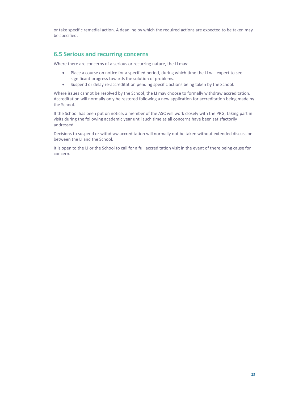or take specific remedial action. A deadline by which the required actions are expected to be taken may be specified.

### **6.5 Serious and recurring concerns**

Where there are concerns of a serious or recurring nature, the LI may:

- Place a course on notice for a specified period, during which time the LI will expect to see significant progress towards the solution of problems.
- Suspend or delay re-accreditation pending specific actions being taken by the School.

Where issues cannot be resolved by the School, the LI may choose to formally withdraw accreditation. Accreditation will normally only be restored following a new application for accreditation being made by the School.

If the School has been put on notice, a member of the ASC will work closely with the PRG, taking part in visits during the following academic year until such time as all concerns have been satisfactorily addressed.

Decisions to suspend or withdraw accreditation will normally not be taken without extended discussion between the LI and the School.

It is open to the LI or the School to call for a full accreditation visit in the event of there being cause for concern.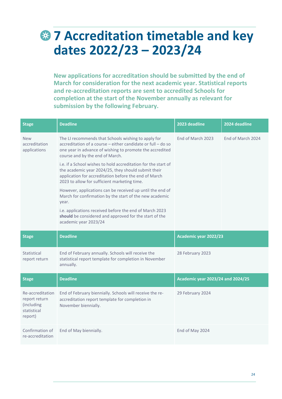# **7 Accreditation timetable and key dates 2022/23 – 2023/24**

**New applications for accreditation should be submitted by the end of March for consideration for the next academic year. Statistical reports and re-accreditation reports are sent to accredited Schools for completion at the start of the November annually as relevant for submission by the following February.** 

| <b>Stage</b>                                                              | <b>Deadline</b>                                                                                                                                                                                                                                                                      | 2023 deadline                            | 2024 deadline     |
|---------------------------------------------------------------------------|--------------------------------------------------------------------------------------------------------------------------------------------------------------------------------------------------------------------------------------------------------------------------------------|------------------------------------------|-------------------|
| <b>New</b><br>accreditation<br>applications                               | The LI recommends that Schools wishing to apply for<br>accreditation of a course – either candidate or full – do so<br>one year in advance of wishing to promote the accredited<br>course and by the end of March.<br>i.e. if a School wishes to hold accreditation for the start of | Fnd of March 2023                        | Fnd of March 2024 |
|                                                                           | the academic year 2024/25, they should submit their<br>application for accreditation before the end of March<br>2023 to allow for sufficient marketing time.                                                                                                                         |                                          |                   |
|                                                                           | However, applications can be received up until the end of<br>March for confirmation by the start of the new academic<br>year.                                                                                                                                                        |                                          |                   |
|                                                                           | i.e. applications received before the end of March 2023<br>should be considered and approved for the start of the<br>academic year 2023/24                                                                                                                                           |                                          |                   |
|                                                                           |                                                                                                                                                                                                                                                                                      |                                          |                   |
| <b>Stage</b>                                                              | <b>Deadline</b>                                                                                                                                                                                                                                                                      | Academic year 2022/23                    |                   |
| Statistical<br>report return                                              | End of February annually. Schools will receive the<br>statistical report template for completion in November<br>annually.                                                                                                                                                            | 28 February 2023                         |                   |
| <b>Stage</b>                                                              | <b>Deadline</b>                                                                                                                                                                                                                                                                      | <b>Academic year 2023/24 and 2024/25</b> |                   |
| Re-accreditation<br>report return<br>(including<br>statistical<br>report) | End of February biennially. Schools will receive the re-<br>accreditation report template for completion in<br>November biennially.                                                                                                                                                  | 29 February 2024                         |                   |